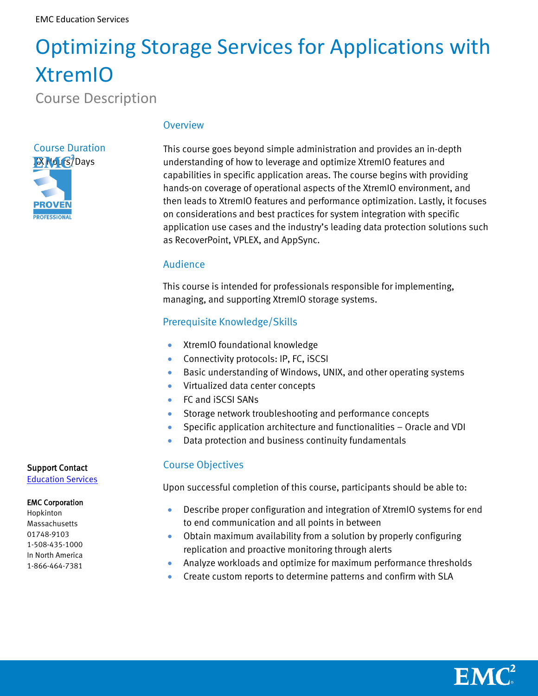# Optimizing Storage Services for Applications with XtremIO

Course Description

# Course Duration IX Hours/Days **PROVEN PROFESSIONAL**

### **Overview**

This course goes beyond simple administration and provides an in-depth understanding of how to leverage and optimize XtremIO features and capabilities in specific application areas. The course begins with providing hands-on coverage of operational aspects of the XtremIO environment, and then leads to XtremIO features and performance optimization. Lastly, it focuses on considerations and best practices for system integration with specific application use cases and the industry's leading data protection solutions such as RecoverPoint, VPLEX, and AppSync.

### Audience

This course is intended for professionals responsible for implementing, managing, and supporting XtremIO storage systems.

## Prerequisite Knowledge/Skills

- **•** XtremIO foundational knowledge
- **Connectivity protocols: IP, FC, ISCSI**
- Basic understanding of Windows, UNIX, and other operating systems
- Virtualized data center concepts
- FC and iSCSI SANs
- **Storage network troubleshooting and performance concepts**
- Specific application architecture and functionalities Oracle and VDI
- Data protection and business continuity fundamentals

## Course Objectives

Upon successful completion of this course, participants should be able to:

- Describe proper configuration and integration of XtremIO systems for end to end communication and all points in between
- Obtain maximum availability from a solution by properly configuring replication and proactive monitoring through alerts
- Analyze workloads and optimize for maximum performance thresholds
- Create custom reports to determine patterns and confirm with SLA

### Support Contact

[Education Services](http://emc.force.com/EducationSupport)

#### EMC Corporation

Hopkinton Massachusetts 01748-9103 1-508-435-1000 In North America 1-866-464-7381

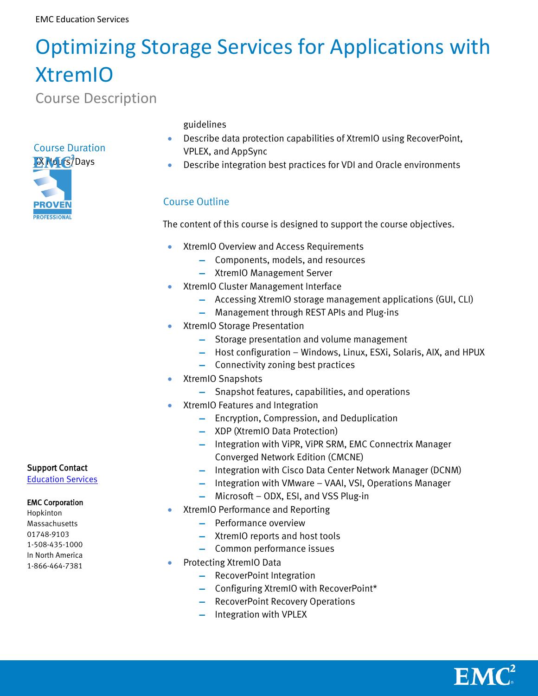# Optimizing Storage Services for Applications with XtremIO

Course Description

# Course Duration IX Hours/Days



guidelines

- Describe data protection capabilities of XtremIO using RecoverPoint, VPLEX, and AppSync
- Describe integration best practices for VDI and Oracle environments

# Course Outline

The content of this course is designed to support the course objectives.

- **•** XtremIO Overview and Access Requirements
	- **▬** Components, models, and resources
	- **▬** XtremIO Management Server
- **XtremIO Cluster Management Interface** 
	- **▬** Accessing XtremIO storage management applications (GUI, CLI)
	- **▬** Management through REST APIs and Plug-ins
- XtremIO Storage Presentation
	- **▬** Storage presentation and volume management
	- **▬** Host configuration Windows, Linux, ESXi, Solaris, AIX, and HPUX
	- **▬** Connectivity zoning best practices
- XtremIO Snapshots
	- **▬** Snapshot features, capabilities, and operations
- XtremIO Features and Integration
	- **▬** Encryption, Compression, and Deduplication
	- **▬** XDP (XtremIO Data Protection)
	- **▬** Integration with ViPR, ViPR SRM, EMC Connectrix Manager Converged Network Edition (CMCNE)
	- **▬** Integration with Cisco Data Center Network Manager (DCNM)
	- **▬** Integration with VMware VAAI, VSI, Operations Manager
	- **▬** Microsoft ODX, ESI, and VSS Plug-in
- XtremIO Performance and Reporting
	- **▬** Performance overview
	- **▬** XtremIO reports and host tools
	- **▬** Common performance issues
- Protecting XtremIO Data
	- **▬** RecoverPoint Integration
	- **▬** Configuring XtremIO with RecoverPoint\*
	- **▬** RecoverPoint Recovery Operations
	- **▬** Integration with VPLEX

## Support Contact

[Education Services](http://emc.force.com/EducationSupport)

### EMC Corporation

Hopkinton Massachusetts 01748-9103 1-508-435-1000 In North America 1-866-464-7381